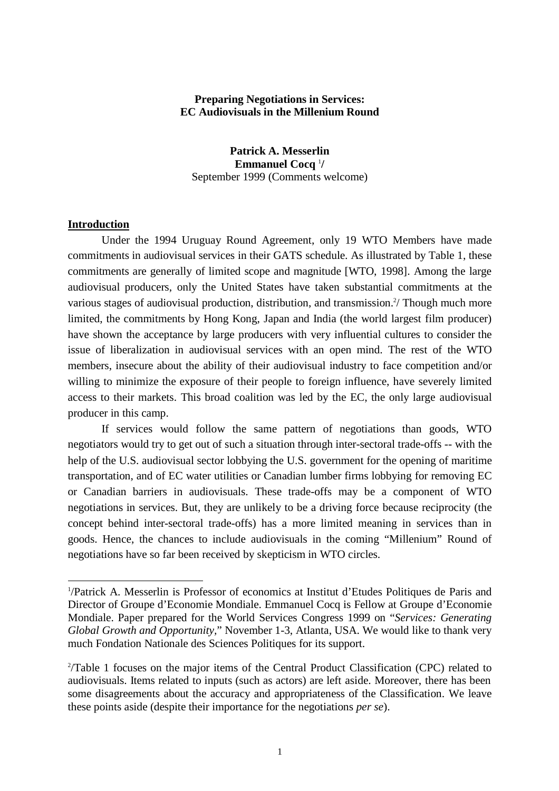## **Preparing Negotiations in Services: EC Audiovisuals in the Millenium Round**

**Patrick A. Messerlin Emmanuel Cocq** <sup>1</sup> **/** September 1999 (Comments welcome)

#### **Introduction**

 $\overline{a}$ 

Under the 1994 Uruguay Round Agreement, only 19 WTO Members have made commitments in audiovisual services in their GATS schedule. As illustrated by Table 1, these commitments are generally of limited scope and magnitude [WTO, 1998]. Among the large audiovisual producers, only the United States have taken substantial commitments at the various stages of audiovisual production, distribution, and transmission.<sup>2</sup>/ Though much more limited, the commitments by Hong Kong, Japan and India (the world largest film producer) have shown the acceptance by large producers with very influential cultures to consider the issue of liberalization in audiovisual services with an open mind. The rest of the WTO members, insecure about the ability of their audiovisual industry to face competition and/or willing to minimize the exposure of their people to foreign influence, have severely limited access to their markets. This broad coalition was led by the EC, the only large audiovisual producer in this camp.

If services would follow the same pattern of negotiations than goods, WTO negotiators would try to get out of such a situation through inter-sectoral trade-offs -- with the help of the U.S. audiovisual sector lobbying the U.S. government for the opening of maritime transportation, and of EC water utilities or Canadian lumber firms lobbying for removing EC or Canadian barriers in audiovisuals. These trade-offs may be a component of WTO negotiations in services. But, they are unlikely to be a driving force because reciprocity (the concept behind inter-sectoral trade-offs) has a more limited meaning in services than in goods. Hence, the chances to include audiovisuals in the coming "Millenium" Round of negotiations have so far been received by skepticism in WTO circles.

<sup>1</sup> /Patrick A. Messerlin is Professor of economics at Institut d'Etudes Politiques de Paris and Director of Groupe d'Economie Mondiale. Emmanuel Cocq is Fellow at Groupe d'Economie Mondiale. Paper prepared for the World Services Congress 1999 on "*Services: Generating Global Growth and Opportunity,*" November 1-3, Atlanta, USA. We would like to thank very much Fondation Nationale des Sciences Politiques for its support.

<sup>&</sup>lt;sup>2</sup>/Table 1 focuses on the major items of the Central Product Classification (CPC) related to audiovisuals. Items related to inputs (such as actors) are left aside. Moreover, there has been some disagreements about the accuracy and appropriateness of the Classification. We leave these points aside (despite their importance for the negotiations *per se*).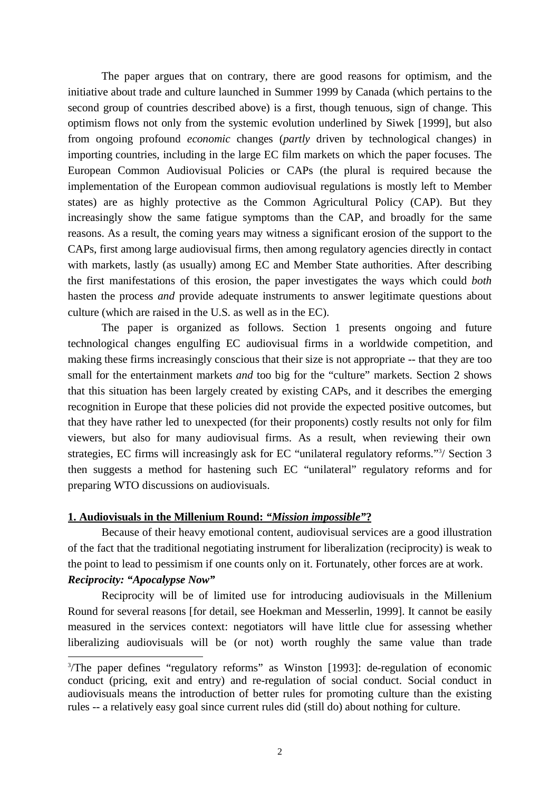The paper argues that on contrary, there are good reasons for optimism, and the initiative about trade and culture launched in Summer 1999 by Canada (which pertains to the second group of countries described above) is a first, though tenuous, sign of change. This optimism flows not only from the systemic evolution underlined by Siwek [1999], but also from ongoing profound *economic* changes (*partly* driven by technological changes) in importing countries, including in the large EC film markets on which the paper focuses. The European Common Audiovisual Policies or CAPs (the plural is required because the implementation of the European common audiovisual regulations is mostly left to Member states) are as highly protective as the Common Agricultural Policy (CAP). But they increasingly show the same fatigue symptoms than the CAP, and broadly for the same reasons. As a result, the coming years may witness a significant erosion of the support to the CAPs, first among large audiovisual firms, then among regulatory agencies directly in contact with markets, lastly (as usually) among EC and Member State authorities. After describing the first manifestations of this erosion, the paper investigates the ways which could *both* hasten the process *and* provide adequate instruments to answer legitimate questions about culture (which are raised in the U.S. as well as in the EC).

The paper is organized as follows. Section 1 presents ongoing and future technological changes engulfing EC audiovisual firms in a worldwide competition, and making these firms increasingly conscious that their size is not appropriate -- that they are too small for the entertainment markets *and* too big for the "culture" markets. Section 2 shows that this situation has been largely created by existing CAPs, and it describes the emerging recognition in Europe that these policies did not provide the expected positive outcomes, but that they have rather led to unexpected (for their proponents) costly results not only for film viewers, but also for many audiovisual firms. As a result, when reviewing their own strategies, EC firms will increasingly ask for EC "unilateral regulatory reforms."<sup>3</sup>/ Section 3 then suggests a method for hastening such EC "unilateral" regulatory reforms and for preparing WTO discussions on audiovisuals.

## **1. Audiovisuals in the Millenium Round:** *"Mission impossible"***?**

Because of their heavy emotional content, audiovisual services are a good illustration of the fact that the traditional negotiating instrument for liberalization (reciprocity) is weak to the point to lead to pessimism if one counts only on it. Fortunately, other forces are at work.

# *Reciprocity: "Apocalypse Now"*

 $\overline{a}$ 

Reciprocity will be of limited use for introducing audiovisuals in the Millenium Round for several reasons [for detail, see Hoekman and Messerlin, 1999]. It cannot be easily measured in the services context: negotiators will have little clue for assessing whether liberalizing audiovisuals will be (or not) worth roughly the same value than trade

<sup>&</sup>lt;sup>3</sup>/The paper defines "regulatory reforms" as Winston [1993]: de-regulation of economic conduct (pricing, exit and entry) and re-regulation of social conduct. Social conduct in audiovisuals means the introduction of better rules for promoting culture than the existing rules -- a relatively easy goal since current rules did (still do) about nothing for culture.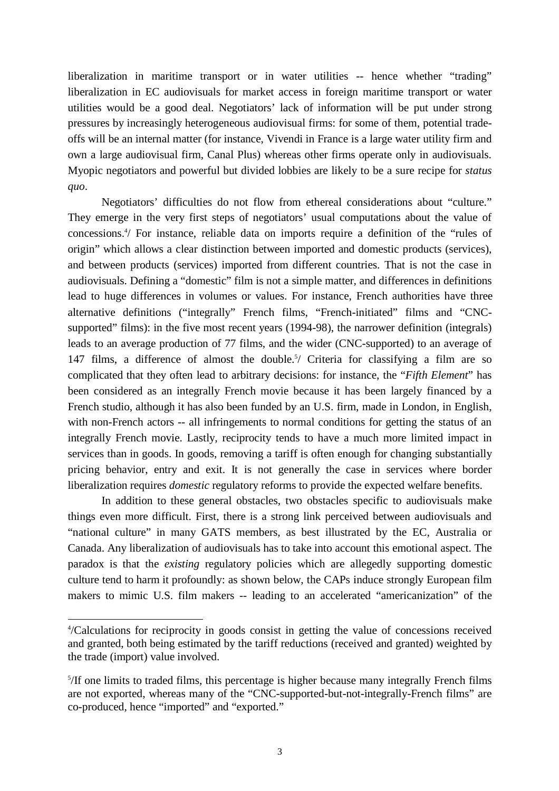liberalization in maritime transport or in water utilities -- hence whether "trading" liberalization in EC audiovisuals for market access in foreign maritime transport or water utilities would be a good deal. Negotiators' lack of information will be put under strong pressures by increasingly heterogeneous audiovisual firms: for some of them, potential tradeoffs will be an internal matter (for instance, Vivendi in France is a large water utility firm and own a large audiovisual firm, Canal Plus) whereas other firms operate only in audiovisuals. Myopic negotiators and powerful but divided lobbies are likely to be a sure recipe for *status quo*.

Negotiators' difficulties do not flow from ethereal considerations about "culture." They emerge in the very first steps of negotiators' usual computations about the value of concessions.4 / For instance, reliable data on imports require a definition of the "rules of origin" which allows a clear distinction between imported and domestic products (services), and between products (services) imported from different countries. That is not the case in audiovisuals. Defining a "domestic" film is not a simple matter, and differences in definitions lead to huge differences in volumes or values. For instance, French authorities have three alternative definitions ("integrally" French films, "French-initiated" films and "CNCsupported" films): in the five most recent years (1994-98), the narrower definition (integrals) leads to an average production of 77 films, and the wider (CNC-supported) to an average of 147 films, a difference of almost the double.<sup>5</sup>/ Criteria for classifying a film are so complicated that they often lead to arbitrary decisions: for instance, the "*Fifth Element*" has been considered as an integrally French movie because it has been largely financed by a French studio, although it has also been funded by an U.S. firm, made in London, in English, with non-French actors -- all infringements to normal conditions for getting the status of an integrally French movie. Lastly, reciprocity tends to have a much more limited impact in services than in goods. In goods, removing a tariff is often enough for changing substantially pricing behavior, entry and exit. It is not generally the case in services where border liberalization requires *domestic* regulatory reforms to provide the expected welfare benefits.

In addition to these general obstacles, two obstacles specific to audiovisuals make things even more difficult. First, there is a strong link perceived between audiovisuals and "national culture" in many GATS members, as best illustrated by the EC, Australia or Canada. Any liberalization of audiovisuals has to take into account this emotional aspect. The paradox is that the *existing* regulatory policies which are allegedly supporting domestic culture tend to harm it profoundly: as shown below, the CAPs induce strongly European film makers to mimic U.S. film makers -- leading to an accelerated "americanization" of the

 $\overline{a}$ 

<sup>4</sup> /Calculations for reciprocity in goods consist in getting the value of concessions received and granted, both being estimated by the tariff reductions (received and granted) weighted by the trade (import) value involved.

<sup>&</sup>lt;sup>5</sup>/If one limits to traded films, this percentage is higher because many integrally French films are not exported, whereas many of the "CNC-supported-but-not-integrally-French films" are co-produced, hence "imported" and "exported."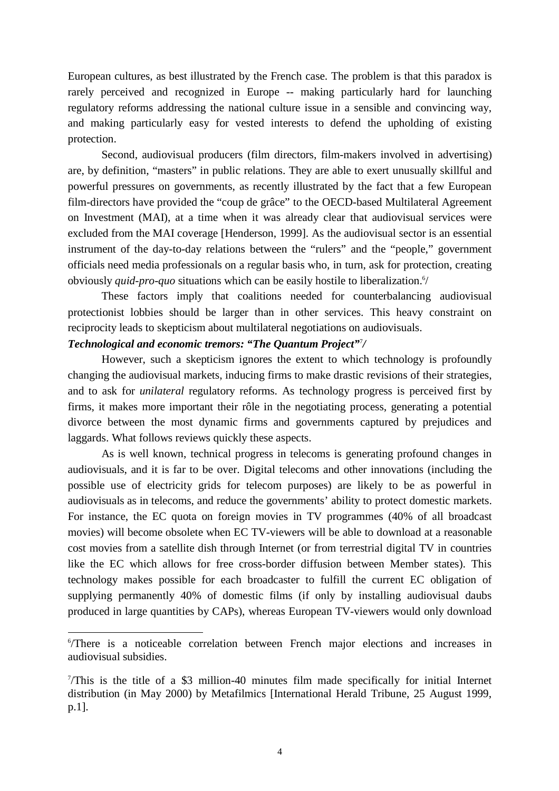European cultures, as best illustrated by the French case. The problem is that this paradox is rarely perceived and recognized in Europe -- making particularly hard for launching regulatory reforms addressing the national culture issue in a sensible and convincing way, and making particularly easy for vested interests to defend the upholding of existing protection.

Second, audiovisual producers (film directors, film-makers involved in advertising) are, by definition, "masters" in public relations. They are able to exert unusually skillful and powerful pressures on governments, as recently illustrated by the fact that a few European film-directors have provided the "coup de grâce" to the OECD-based Multilateral Agreement on Investment (MAI), at a time when it was already clear that audiovisual services were excluded from the MAI coverage [Henderson, 1999]. As the audiovisual sector is an essential instrument of the day-to-day relations between the "rulers" and the "people," government officials need media professionals on a regular basis who, in turn, ask for protection, creating obviously *quid-pro-quo* situations which can be easily hostile to liberalization.<sup>6</sup>/

These factors imply that coalitions needed for counterbalancing audiovisual protectionist lobbies should be larger than in other services. This heavy constraint on reciprocity leads to skepticism about multilateral negotiations on audiovisuals.

# *Technological and economic tremors: "The Quantum Project"*<sup>7</sup> */*

 $\overline{a}$ 

However, such a skepticism ignores the extent to which technology is profoundly changing the audiovisual markets, inducing firms to make drastic revisions of their strategies, and to ask for *unilateral* regulatory reforms. As technology progress is perceived first by firms, it makes more important their rôle in the negotiating process, generating a potential divorce between the most dynamic firms and governments captured by prejudices and laggards. What follows reviews quickly these aspects.

As is well known, technical progress in telecoms is generating profound changes in audiovisuals, and it is far to be over. Digital telecoms and other innovations (including the possible use of electricity grids for telecom purposes) are likely to be as powerful in audiovisuals as in telecoms, and reduce the governments' ability to protect domestic markets. For instance, the EC quota on foreign movies in TV programmes (40% of all broadcast movies) will become obsolete when EC TV-viewers will be able to download at a reasonable cost movies from a satellite dish through Internet (or from terrestrial digital TV in countries like the EC which allows for free cross-border diffusion between Member states). This technology makes possible for each broadcaster to fulfill the current EC obligation of supplying permanently 40% of domestic films (if only by installing audiovisual daubs produced in large quantities by CAPs), whereas European TV-viewers would only download

<sup>6</sup> /There is a noticeable correlation between French major elections and increases in audiovisual subsidies.

<sup>7</sup> /This is the title of a \$3 million-40 minutes film made specifically for initial Internet distribution (in May 2000) by Metafilmics [International Herald Tribune, 25 August 1999, p.1].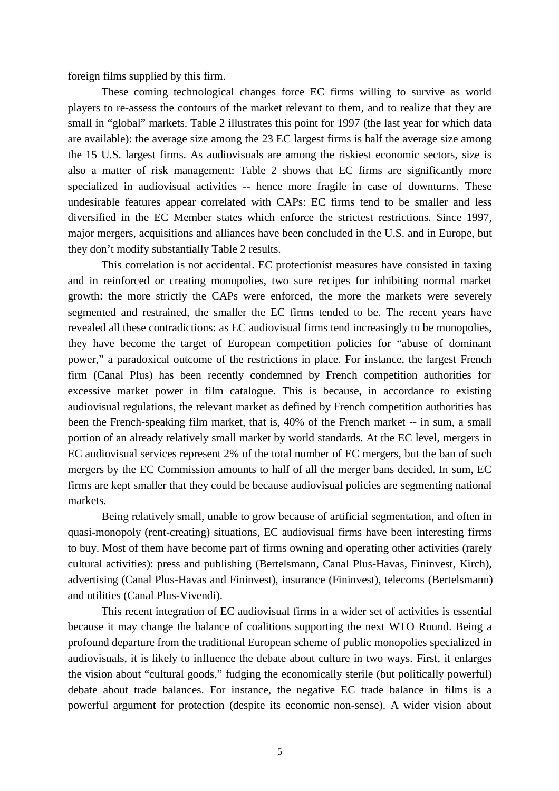foreign films supplied by this firm.

These coming technological changes force EC firms willing to survive as world players to re-assess the contours of the market relevant to them, and to realize that they are small in "global" markets. Table 2 illustrates this point for 1997 (the last year for which data are available): the average size among the 23 EC largest firms is half the average size among the 15 U.S. largest firms. As audiovisuals are among the riskiest economic sectors, size is also a matter of risk management: Table 2 shows that EC firms are significantly more specialized in audiovisual activities -- hence more fragile in case of downturns. These undesirable features appear correlated with CAPs: EC firms tend to be smaller and less diversified in the EC Member states which enforce the strictest restrictions. Since 1997, major mergers, acquisitions and alliances have been concluded in the U.S. and in Europe, but they don't modify substantially Table 2 results.

This correlation is not accidental. EC protectionist measures have consisted in taxing and in reinforced or creating monopolies, two sure recipes for inhibiting normal market growth: the more strictly the CAPs were enforced, the more the markets were severely segmented and restrained, the smaller the EC firms tended to be. The recent years have revealed all these contradictions: as EC audiovisual firms tend increasingly to be monopolies, they have become the target of European competition policies for "abuse of dominant power," a paradoxical outcome of the restrictions in place. For instance, the largest French firm (Canal Plus) has been recently condemned by French competition authorities for excessive market power in film catalogue. This is because, in accordance to existing audiovisual regulations, the relevant market as defined by French competition authorities has been the French-speaking film market, that is, 40% of the French market -- in sum, a small portion of an already relatively small market by world standards. At the EC level, mergers in EC audiovisual services represent 2% of the total number of EC mergers, but the ban of such mergers by the EC Commission amounts to half of all the merger bans decided. In sum, EC firms are kept smaller that they could be because audiovisual policies are segmenting national markets.

Being relatively small, unable to grow because of artificial segmentation, and often in quasi-monopoly (rent-creating) situations, EC audiovisual firms have been interesting firms to buy. Most of them have become part of firms owning and operating other activities (rarely cultural activities): press and publishing (Bertelsmann, Canal Plus-Havas, Fininvest, Kirch), advertising (Canal Plus-Havas and Fininvest), insurance (Fininvest), telecoms (Bertelsmann) and utilities (Canal Plus-Vivendi).

This recent integration of EC audiovisual firms in a wider set of activities is essential because it may change the balance of coalitions supporting the next WTO Round. Being a profound departure from the traditional European scheme of public monopolies specialized in audiovisuals, it is likely to influence the debate about culture in two ways. First, it enlarges the vision about "cultural goods," fudging the economically sterile (but politically powerful) debate about trade balances. For instance, the negative EC trade balance in films is a powerful argument for protection (despite its economic non-sense). A wider vision about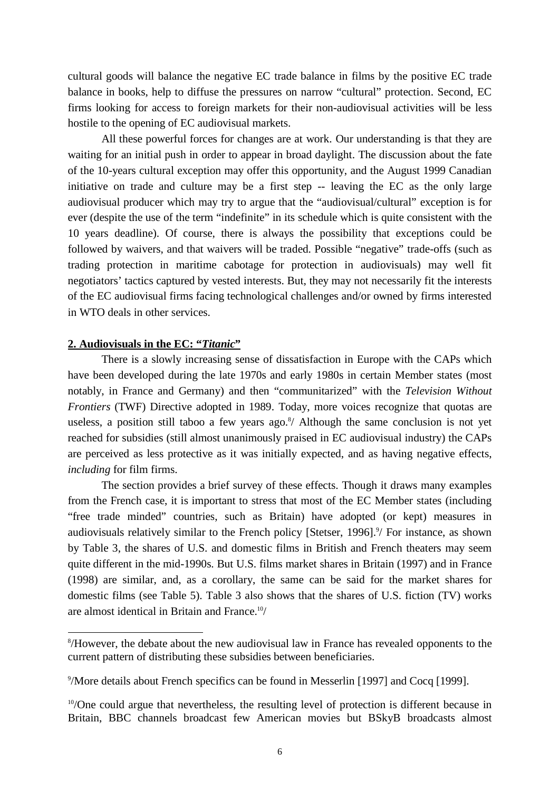cultural goods will balance the negative EC trade balance in films by the positive EC trade balance in books, help to diffuse the pressures on narrow "cultural" protection. Second, EC firms looking for access to foreign markets for their non-audiovisual activities will be less hostile to the opening of EC audiovisual markets.

All these powerful forces for changes are at work. Our understanding is that they are waiting for an initial push in order to appear in broad daylight. The discussion about the fate of the 10-years cultural exception may offer this opportunity, and the August 1999 Canadian initiative on trade and culture may be a first step -- leaving the EC as the only large audiovisual producer which may try to argue that the "audiovisual/cultural" exception is for ever (despite the use of the term "indefinite" in its schedule which is quite consistent with the 10 years deadline). Of course, there is always the possibility that exceptions could be followed by waivers, and that waivers will be traded. Possible "negative" trade-offs (such as trading protection in maritime cabotage for protection in audiovisuals) may well fit negotiators' tactics captured by vested interests. But, they may not necessarily fit the interests of the EC audiovisual firms facing technological challenges and/or owned by firms interested in WTO deals in other services.

## **2. Audiovisuals in the EC: "***Titanic***"**

 $\overline{a}$ 

There is a slowly increasing sense of dissatisfaction in Europe with the CAPs which have been developed during the late 1970s and early 1980s in certain Member states (most notably, in France and Germany) and then "communitarized" with the *Television Without Frontiers* (TWF) Directive adopted in 1989. Today, more voices recognize that quotas are useless, a position still taboo a few years ago. $\frac{8}{1}$  Although the same conclusion is not yet reached for subsidies (still almost unanimously praised in EC audiovisual industry) the CAPs are perceived as less protective as it was initially expected, and as having negative effects, *including* for film firms.

The section provides a brief survey of these effects. Though it draws many examples from the French case, it is important to stress that most of the EC Member states (including "free trade minded" countries, such as Britain) have adopted (or kept) measures in audiovisuals relatively similar to the French policy [Stetser, 1996].<sup>9</sup>/ For instance, as shown by Table 3, the shares of U.S. and domestic films in British and French theaters may seem quite different in the mid-1990s. But U.S. films market shares in Britain (1997) and in France (1998) are similar, and, as a corollary, the same can be said for the market shares for domestic films (see Table 5). Table 3 also shows that the shares of U.S. fiction (TV) works are almost identical in Britain and France.10/

<sup>8</sup> /However, the debate about the new audiovisual law in France has revealed opponents to the current pattern of distributing these subsidies between beneficiaries.

<sup>9</sup> /More details about French specifics can be found in Messerlin [1997] and Cocq [1999].

 $10$ /One could argue that nevertheless, the resulting level of protection is different because in Britain, BBC channels broadcast few American movies but BSkyB broadcasts almost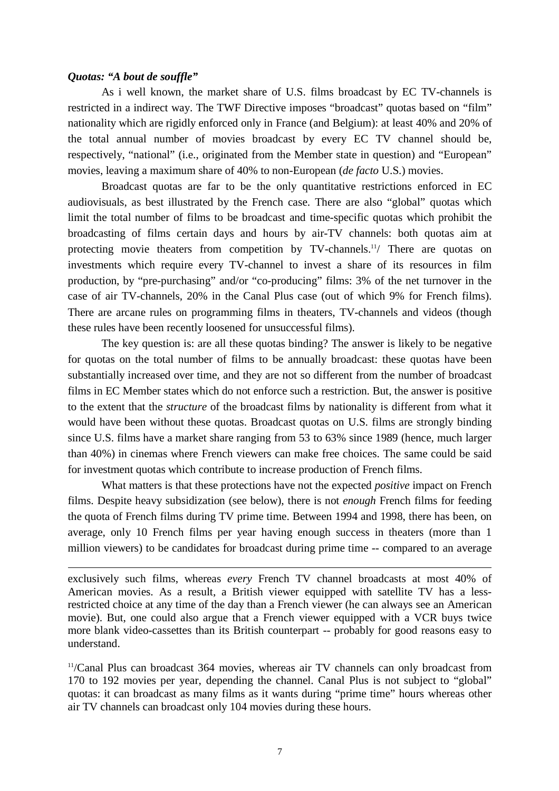#### *Quotas: "A bout de souffle"*

 $\overline{a}$ 

As i well known, the market share of U.S. films broadcast by EC TV-channels is restricted in a indirect way. The TWF Directive imposes "broadcast" quotas based on "film" nationality which are rigidly enforced only in France (and Belgium): at least 40% and 20% of the total annual number of movies broadcast by every EC TV channel should be, respectively, "national" (i.e., originated from the Member state in question) and "European" movies, leaving a maximum share of 40% to non-European (*de facto* U.S.) movies.

Broadcast quotas are far to be the only quantitative restrictions enforced in EC audiovisuals, as best illustrated by the French case. There are also "global" quotas which limit the total number of films to be broadcast and time-specific quotas which prohibit the broadcasting of films certain days and hours by air-TV channels: both quotas aim at protecting movie theaters from competition by TV-channels.<sup>11</sup>/ There are quotas on investments which require every TV-channel to invest a share of its resources in film production, by "pre-purchasing" and/or "co-producing" films: 3% of the net turnover in the case of air TV-channels, 20% in the Canal Plus case (out of which 9% for French films). There are arcane rules on programming films in theaters, TV-channels and videos (though these rules have been recently loosened for unsuccessful films).

The key question is: are all these quotas binding? The answer is likely to be negative for quotas on the total number of films to be annually broadcast: these quotas have been substantially increased over time, and they are not so different from the number of broadcast films in EC Member states which do not enforce such a restriction. But, the answer is positive to the extent that the *structure* of the broadcast films by nationality is different from what it would have been without these quotas. Broadcast quotas on U.S. films are strongly binding since U.S. films have a market share ranging from 53 to 63% since 1989 (hence, much larger than 40%) in cinemas where French viewers can make free choices. The same could be said for investment quotas which contribute to increase production of French films.

What matters is that these protections have not the expected *positive* impact on French films. Despite heavy subsidization (see below), there is not *enough* French films for feeding the quota of French films during TV prime time. Between 1994 and 1998, there has been, on average, only 10 French films per year having enough success in theaters (more than 1 million viewers) to be candidates for broadcast during prime time -- compared to an average

11/Canal Plus can broadcast 364 movies, whereas air TV channels can only broadcast from 170 to 192 movies per year, depending the channel. Canal Plus is not subject to "global" quotas: it can broadcast as many films as it wants during "prime time" hours whereas other air TV channels can broadcast only 104 movies during these hours.

exclusively such films, whereas *every* French TV channel broadcasts at most 40% of American movies. As a result, a British viewer equipped with satellite TV has a lessrestricted choice at any time of the day than a French viewer (he can always see an American movie). But, one could also argue that a French viewer equipped with a VCR buys twice more blank video-cassettes than its British counterpart -- probably for good reasons easy to understand.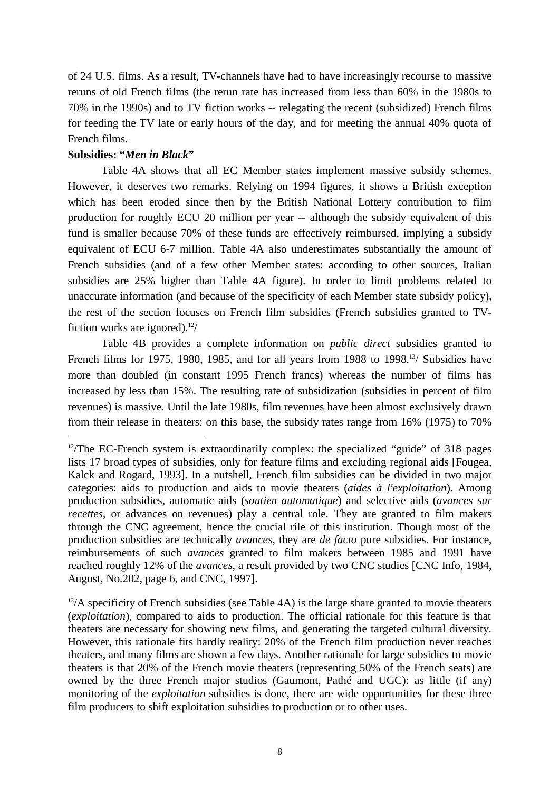of 24 U.S. films. As a result, TV-channels have had to have increasingly recourse to massive reruns of old French films (the rerun rate has increased from less than 60% in the 1980s to 70% in the 1990s) and to TV fiction works -- relegating the recent (subsidized) French films for feeding the TV late or early hours of the day, and for meeting the annual 40% quota of French films.

# **Subsidies: "***Men in Black***"**

 $\overline{a}$ 

Table 4A shows that all EC Member states implement massive subsidy schemes. However, it deserves two remarks. Relying on 1994 figures, it shows a British exception which has been eroded since then by the British National Lottery contribution to film production for roughly ECU 20 million per year -- although the subsidy equivalent of this fund is smaller because 70% of these funds are effectively reimbursed, implying a subsidy equivalent of ECU 6-7 million. Table 4A also underestimates substantially the amount of French subsidies (and of a few other Member states: according to other sources, Italian subsidies are 25% higher than Table 4A figure). In order to limit problems related to unaccurate information (and because of the specificity of each Member state subsidy policy), the rest of the section focuses on French film subsidies (French subsidies granted to TVfiction works are ignored).<sup>12</sup>/

Table 4B provides a complete information on *public direct* subsidies granted to French films for 1975, 1980, 1985, and for all years from 1988 to 1998.<sup>13</sup>/ Subsidies have more than doubled (in constant 1995 French francs) whereas the number of films has increased by less than 15%. The resulting rate of subsidization (subsidies in percent of film revenues) is massive. Until the late 1980s, film revenues have been almost exclusively drawn from their release in theaters: on this base, the subsidy rates range from 16% (1975) to 70%

 $13/A$  specificity of French subsidies (see Table 4A) is the large share granted to movie theaters (*exploitation*), compared to aids to production. The official rationale for this feature is that theaters are necessary for showing new films, and generating the targeted cultural diversity. However, this rationale fits hardly reality: 20% of the French film production never reaches theaters, and many films are shown a few days. Another rationale for large subsidies to movie theaters is that 20% of the French movie theaters (representing 50% of the French seats) are owned by the three French major studios (Gaumont, Pathé and UGC): as little (if any) monitoring of the *exploitation* subsidies is done, there are wide opportunities for these three film producers to shift exploitation subsidies to production or to other uses.

 $12$ /The EC-French system is extraordinarily complex: the specialized "guide" of 318 pages lists 17 broad types of subsidies, only for feature films and excluding regional aids [Fougea, Kalck and Rogard, 1993]. In a nutshell, French film subsidies can be divided in two major categories: aids to production and aids to movie theaters (*aides à l'exploitation*). Among production subsidies, automatic aids (*soutien automatique*) and selective aids (*avances sur recettes*, or advances on revenues) play a central role. They are granted to film makers through the CNC agreement, hence the crucial rile of this institution. Though most of the production subsidies are technically *avances*, they are *de facto* pure subsidies. For instance, reimbursements of such *avances* granted to film makers between 1985 and 1991 have reached roughly 12% of the *avances*, a result provided by two CNC studies [CNC Info, 1984, August, No.202, page 6, and CNC, 1997].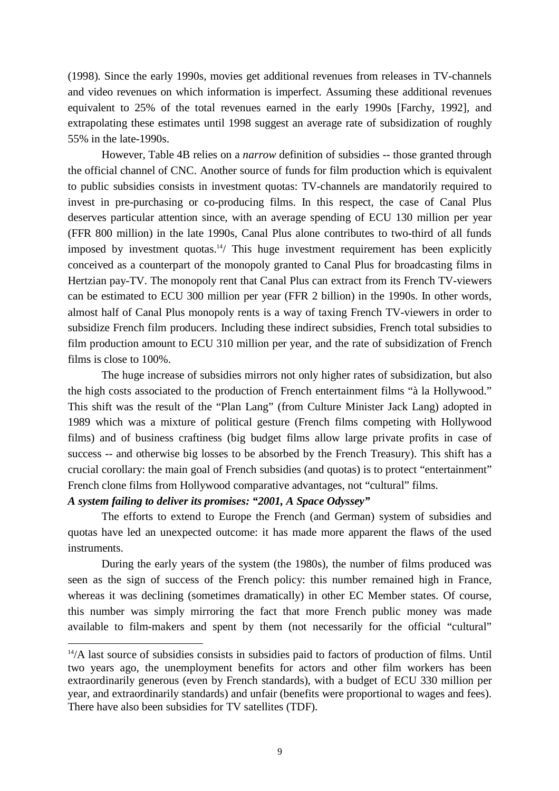(1998). Since the early 1990s, movies get additional revenues from releases in TV-channels and video revenues on which information is imperfect. Assuming these additional revenues equivalent to 25% of the total revenues earned in the early 1990s [Farchy, 1992], and extrapolating these estimates until 1998 suggest an average rate of subsidization of roughly 55% in the late-1990s.

However, Table 4B relies on a *narrow* definition of subsidies -- those granted through the official channel of CNC. Another source of funds for film production which is equivalent to public subsidies consists in investment quotas: TV-channels are mandatorily required to invest in pre-purchasing or co-producing films. In this respect, the case of Canal Plus deserves particular attention since, with an average spending of ECU 130 million per year (FFR 800 million) in the late 1990s, Canal Plus alone contributes to two-third of all funds imposed by investment quotas.<sup>14</sup>/ This huge investment requirement has been explicitly conceived as a counterpart of the monopoly granted to Canal Plus for broadcasting films in Hertzian pay-TV. The monopoly rent that Canal Plus can extract from its French TV-viewers can be estimated to ECU 300 million per year (FFR 2 billion) in the 1990s. In other words, almost half of Canal Plus monopoly rents is a way of taxing French TV-viewers in order to subsidize French film producers. Including these indirect subsidies, French total subsidies to film production amount to ECU 310 million per year, and the rate of subsidization of French films is close to 100%.

The huge increase of subsidies mirrors not only higher rates of subsidization, but also the high costs associated to the production of French entertainment films "à la Hollywood." This shift was the result of the "Plan Lang" (from Culture Minister Jack Lang) adopted in 1989 which was a mixture of political gesture (French films competing with Hollywood films) and of business craftiness (big budget films allow large private profits in case of success -- and otherwise big losses to be absorbed by the French Treasury). This shift has a crucial corollary: the main goal of French subsidies (and quotas) is to protect "entertainment" French clone films from Hollywood comparative advantages, not "cultural" films.

## *A system failing to deliver its promises: "2001, A Space Odyssey"*

 $\overline{a}$ 

The efforts to extend to Europe the French (and German) system of subsidies and quotas have led an unexpected outcome: it has made more apparent the flaws of the used instruments.

During the early years of the system (the 1980s), the number of films produced was seen as the sign of success of the French policy: this number remained high in France, whereas it was declining (sometimes dramatically) in other EC Member states. Of course, this number was simply mirroring the fact that more French public money was made available to film-makers and spent by them (not necessarily for the official "cultural"

<sup>&</sup>lt;sup>14</sup>/A last source of subsidies consists in subsidies paid to factors of production of films. Until two years ago, the unemployment benefits for actors and other film workers has been extraordinarily generous (even by French standards), with a budget of ECU 330 million per year, and extraordinarily standards) and unfair (benefits were proportional to wages and fees). There have also been subsidies for TV satellites (TDF).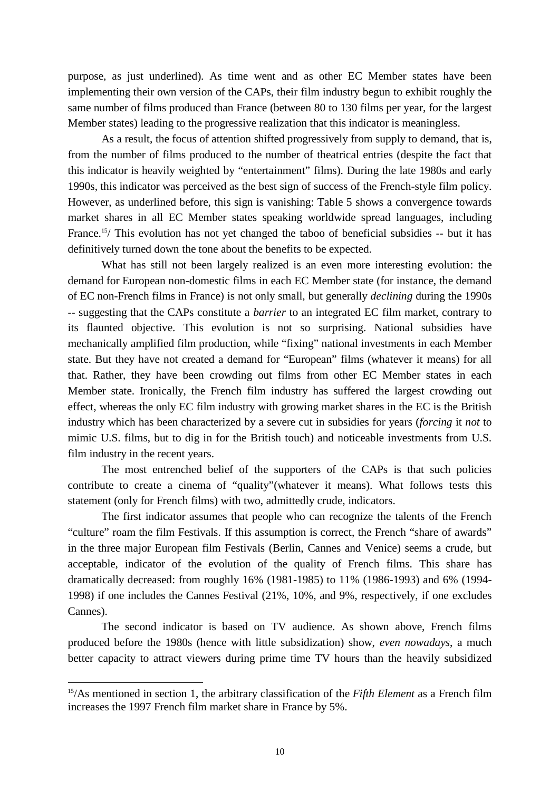purpose, as just underlined). As time went and as other EC Member states have been implementing their own version of the CAPs, their film industry begun to exhibit roughly the same number of films produced than France (between 80 to 130 films per year, for the largest Member states) leading to the progressive realization that this indicator is meaningless.

As a result, the focus of attention shifted progressively from supply to demand, that is, from the number of films produced to the number of theatrical entries (despite the fact that this indicator is heavily weighted by "entertainment" films). During the late 1980s and early 1990s, this indicator was perceived as the best sign of success of the French-style film policy. However, as underlined before, this sign is vanishing: Table 5 shows a convergence towards market shares in all EC Member states speaking worldwide spread languages, including France.<sup>15</sup>/ This evolution has not yet changed the taboo of beneficial subsidies -- but it has definitively turned down the tone about the benefits to be expected.

What has still not been largely realized is an even more interesting evolution: the demand for European non-domestic films in each EC Member state (for instance, the demand of EC non-French films in France) is not only small, but generally *declining* during the 1990s -- suggesting that the CAPs constitute a *barrier* to an integrated EC film market, contrary to its flaunted objective. This evolution is not so surprising. National subsidies have mechanically amplified film production, while "fixing" national investments in each Member state. But they have not created a demand for "European" films (whatever it means) for all that. Rather, they have been crowding out films from other EC Member states in each Member state. Ironically, the French film industry has suffered the largest crowding out effect, whereas the only EC film industry with growing market shares in the EC is the British industry which has been characterized by a severe cut in subsidies for years (*forcing* it *not* to mimic U.S. films, but to dig in for the British touch) and noticeable investments from U.S. film industry in the recent years.

The most entrenched belief of the supporters of the CAPs is that such policies contribute to create a cinema of "quality"(whatever it means). What follows tests this statement (only for French films) with two, admittedly crude, indicators.

The first indicator assumes that people who can recognize the talents of the French "culture" roam the film Festivals. If this assumption is correct, the French "share of awards" in the three major European film Festivals (Berlin, Cannes and Venice) seems a crude, but acceptable, indicator of the evolution of the quality of French films. This share has dramatically decreased: from roughly 16% (1981-1985) to 11% (1986-1993) and 6% (1994- 1998) if one includes the Cannes Festival (21%, 10%, and 9%, respectively, if one excludes Cannes).

The second indicator is based on TV audience. As shown above, French films produced before the 1980s (hence with little subsidization) show, *even nowadays*, a much better capacity to attract viewers during prime time TV hours than the heavily subsidized

 $\overline{a}$ 

<sup>15/</sup>As mentioned in section 1, the arbitrary classification of the *Fifth Element* as a French film increases the 1997 French film market share in France by 5%.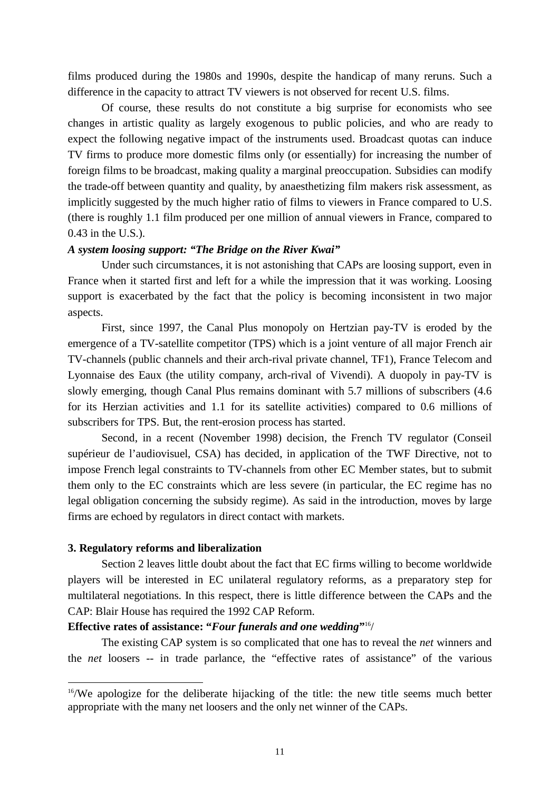films produced during the 1980s and 1990s, despite the handicap of many reruns. Such a difference in the capacity to attract TV viewers is not observed for recent U.S. films.

Of course, these results do not constitute a big surprise for economists who see changes in artistic quality as largely exogenous to public policies, and who are ready to expect the following negative impact of the instruments used. Broadcast quotas can induce TV firms to produce more domestic films only (or essentially) for increasing the number of foreign films to be broadcast, making quality a marginal preoccupation. Subsidies can modify the trade-off between quantity and quality, by anaesthetizing film makers risk assessment, as implicitly suggested by the much higher ratio of films to viewers in France compared to U.S. (there is roughly 1.1 film produced per one million of annual viewers in France, compared to 0.43 in the U.S.).

#### *A system loosing support: "The Bridge on the River Kwai"*

Under such circumstances, it is not astonishing that CAPs are loosing support, even in France when it started first and left for a while the impression that it was working. Loosing support is exacerbated by the fact that the policy is becoming inconsistent in two major aspects.

First, since 1997, the Canal Plus monopoly on Hertzian pay-TV is eroded by the emergence of a TV-satellite competitor (TPS) which is a joint venture of all major French air TV-channels (public channels and their arch-rival private channel, TF1), France Telecom and Lyonnaise des Eaux (the utility company, arch-rival of Vivendi). A duopoly in pay-TV is slowly emerging, though Canal Plus remains dominant with 5.7 millions of subscribers (4.6 for its Herzian activities and 1.1 for its satellite activities) compared to 0.6 millions of subscribers for TPS. But, the rent-erosion process has started.

Second, in a recent (November 1998) decision, the French TV regulator (Conseil supérieur de l'audiovisuel, CSA) has decided, in application of the TWF Directive, not to impose French legal constraints to TV-channels from other EC Member states, but to submit them only to the EC constraints which are less severe (in particular, the EC regime has no legal obligation concerning the subsidy regime). As said in the introduction, moves by large firms are echoed by regulators in direct contact with markets.

#### **3. Regulatory reforms and liberalization**

 $\overline{a}$ 

Section 2 leaves little doubt about the fact that EC firms willing to become worldwide players will be interested in EC unilateral regulatory reforms, as a preparatory step for multilateral negotiations. In this respect, there is little difference between the CAPs and the CAP: Blair House has required the 1992 CAP Reform.

#### **Effective rates of assistance: "***Four funerals and one wedding***"**16/

The existing CAP system is so complicated that one has to reveal the *net* winners and the *net* loosers -- in trade parlance, the "effective rates of assistance" of the various

 $16$ /We apologize for the deliberate hijacking of the title: the new title seems much better appropriate with the many net loosers and the only net winner of the CAPs.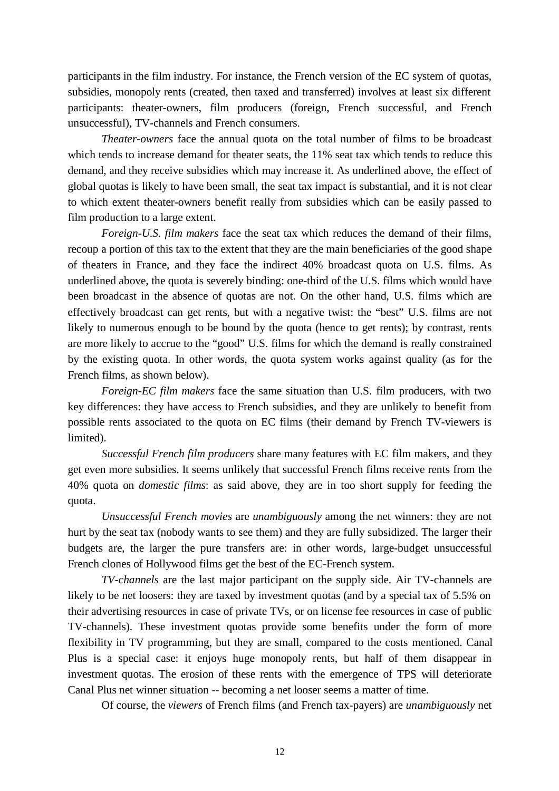participants in the film industry. For instance, the French version of the EC system of quotas, subsidies, monopoly rents (created, then taxed and transferred) involves at least six different participants: theater-owners, film producers (foreign, French successful, and French unsuccessful), TV-channels and French consumers.

*Theater-owners* face the annual quota on the total number of films to be broadcast which tends to increase demand for theater seats, the 11% seat tax which tends to reduce this demand, and they receive subsidies which may increase it. As underlined above, the effect of global quotas is likely to have been small, the seat tax impact is substantial, and it is not clear to which extent theater-owners benefit really from subsidies which can be easily passed to film production to a large extent.

*Foreign-U.S. film makers* face the seat tax which reduces the demand of their films, recoup a portion of this tax to the extent that they are the main beneficiaries of the good shape of theaters in France, and they face the indirect 40% broadcast quota on U.S. films. As underlined above, the quota is severely binding: one-third of the U.S. films which would have been broadcast in the absence of quotas are not. On the other hand, U.S. films which are effectively broadcast can get rents, but with a negative twist: the "best" U.S. films are not likely to numerous enough to be bound by the quota (hence to get rents); by contrast, rents are more likely to accrue to the "good" U.S. films for which the demand is really constrained by the existing quota. In other words, the quota system works against quality (as for the French films, as shown below).

*Foreign-EC film makers* face the same situation than U.S. film producers, with two key differences: they have access to French subsidies, and they are unlikely to benefit from possible rents associated to the quota on EC films (their demand by French TV-viewers is limited).

*Successful French film producers* share many features with EC film makers, and they get even more subsidies. It seems unlikely that successful French films receive rents from the 40% quota on *domestic films*: as said above, they are in too short supply for feeding the quota.

*Unsuccessful French movies* are *unambiguously* among the net winners: they are not hurt by the seat tax (nobody wants to see them) and they are fully subsidized. The larger their budgets are, the larger the pure transfers are: in other words, large-budget unsuccessful French clones of Hollywood films get the best of the EC-French system.

*TV-channels* are the last major participant on the supply side. Air TV-channels are likely to be net loosers: they are taxed by investment quotas (and by a special tax of 5.5% on their advertising resources in case of private TVs, or on license fee resources in case of public TV-channels). These investment quotas provide some benefits under the form of more flexibility in TV programming, but they are small, compared to the costs mentioned. Canal Plus is a special case: it enjoys huge monopoly rents, but half of them disappear in investment quotas. The erosion of these rents with the emergence of TPS will deteriorate Canal Plus net winner situation -- becoming a net looser seems a matter of time.

Of course, the *viewers* of French films (and French tax-payers) are *unambiguously* net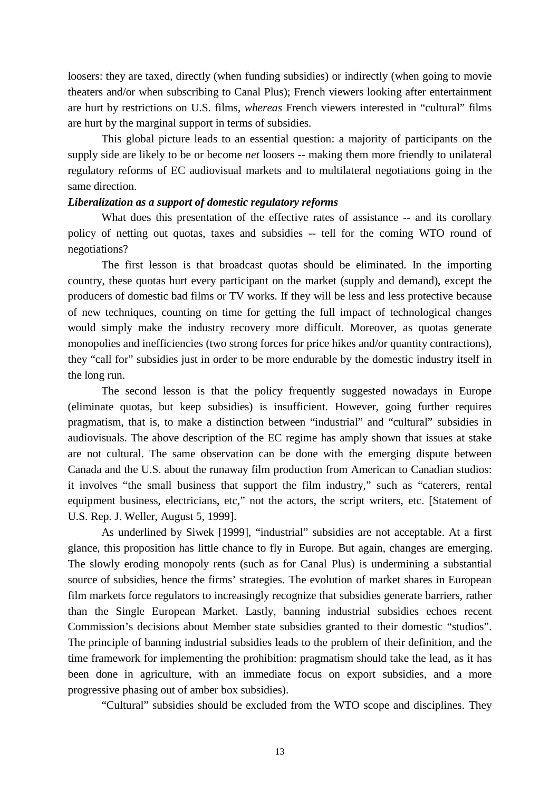loosers: they are taxed, directly (when funding subsidies) or indirectly (when going to movie theaters and/or when subscribing to Canal Plus); French viewers looking after entertainment are hurt by restrictions on U.S. films, *whereas* French viewers interested in "cultural" films are hurt by the marginal support in terms of subsidies.

This global picture leads to an essential question: a majority of participants on the supply side are likely to be or become *net* loosers -- making them more friendly to unilateral regulatory reforms of EC audiovisual markets and to multilateral negotiations going in the same direction.

# *Liberalization as a support of domestic regulatory reforms*

What does this presentation of the effective rates of assistance -- and its corollary policy of netting out quotas, taxes and subsidies -- tell for the coming WTO round of negotiations?

The first lesson is that broadcast quotas should be eliminated. In the importing country, these quotas hurt every participant on the market (supply and demand), except the producers of domestic bad films or TV works. If they will be less and less protective because of new techniques, counting on time for getting the full impact of technological changes would simply make the industry recovery more difficult. Moreover, as quotas generate monopolies and inefficiencies (two strong forces for price hikes and/or quantity contractions), they "call for" subsidies just in order to be more endurable by the domestic industry itself in the long run.

The second lesson is that the policy frequently suggested nowadays in Europe (eliminate quotas, but keep subsidies) is insufficient. However, going further requires pragmatism, that is, to make a distinction between "industrial" and "cultural" subsidies in audiovisuals. The above description of the EC regime has amply shown that issues at stake are not cultural. The same observation can be done with the emerging dispute between Canada and the U.S. about the runaway film production from American to Canadian studios: it involves "the small business that support the film industry," such as "caterers, rental equipment business, electricians, etc," not the actors, the script writers, etc. [Statement of U.S. Rep. J. Weller, August 5, 1999].

As underlined by Siwek [1999], "industrial" subsidies are not acceptable. At a first glance, this proposition has little chance to fly in Europe. But again, changes are emerging. The slowly eroding monopoly rents (such as for Canal Plus) is undermining a substantial source of subsidies, hence the firms' strategies. The evolution of market shares in European film markets force regulators to increasingly recognize that subsidies generate barriers, rather than the Single European Market. Lastly, banning industrial subsidies echoes recent Commission's decisions about Member state subsidies granted to their domestic "studios". The principle of banning industrial subsidies leads to the problem of their definition, and the time framework for implementing the prohibition: pragmatism should take the lead, as it has been done in agriculture, with an immediate focus on export subsidies, and a more progressive phasing out of amber box subsidies).

"Cultural" subsidies should be excluded from the WTO scope and disciplines. They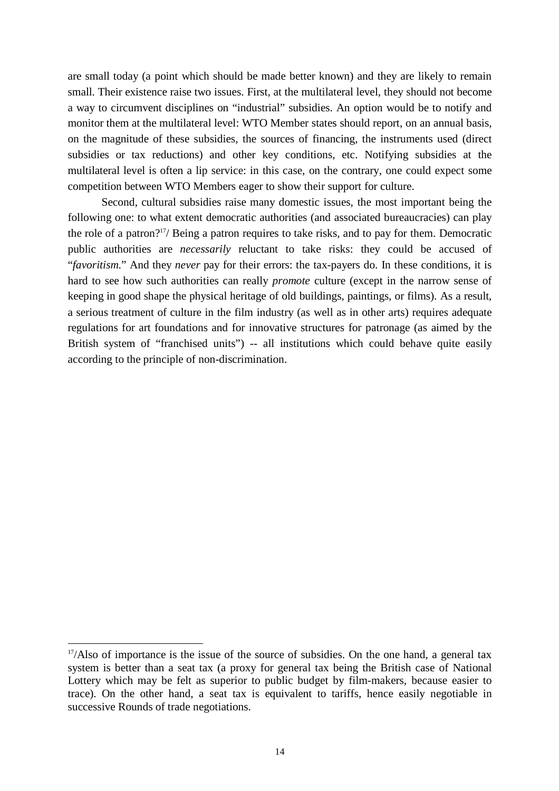are small today (a point which should be made better known) and they are likely to remain small. Their existence raise two issues. First, at the multilateral level, they should not become a way to circumvent disciplines on "industrial" subsidies. An option would be to notify and monitor them at the multilateral level: WTO Member states should report, on an annual basis, on the magnitude of these subsidies, the sources of financing, the instruments used (direct subsidies or tax reductions) and other key conditions, etc. Notifying subsidies at the multilateral level is often a lip service: in this case, on the contrary, one could expect some competition between WTO Members eager to show their support for culture.

Second, cultural subsidies raise many domestic issues, the most important being the following one: to what extent democratic authorities (and associated bureaucracies) can play the role of a patron?17/ Being a patron requires to take risks, and to pay for them. Democratic public authorities are *necessarily* reluctant to take risks: they could be accused of "*favoritism.*" And they *never* pay for their errors: the tax-payers do. In these conditions, it is hard to see how such authorities can really *promote* culture (except in the narrow sense of keeping in good shape the physical heritage of old buildings, paintings, or films). As a result, a serious treatment of culture in the film industry (as well as in other arts) requires adequate regulations for art foundations and for innovative structures for patronage (as aimed by the British system of "franchised units") -- all institutions which could behave quite easily according to the principle of non-discrimination.

 $\overline{a}$ 

 $17/\text{Also of importance}$  is the issue of the source of subsidies. On the one hand, a general tax system is better than a seat tax (a proxy for general tax being the British case of National Lottery which may be felt as superior to public budget by film-makers, because easier to trace). On the other hand, a seat tax is equivalent to tariffs, hence easily negotiable in successive Rounds of trade negotiations.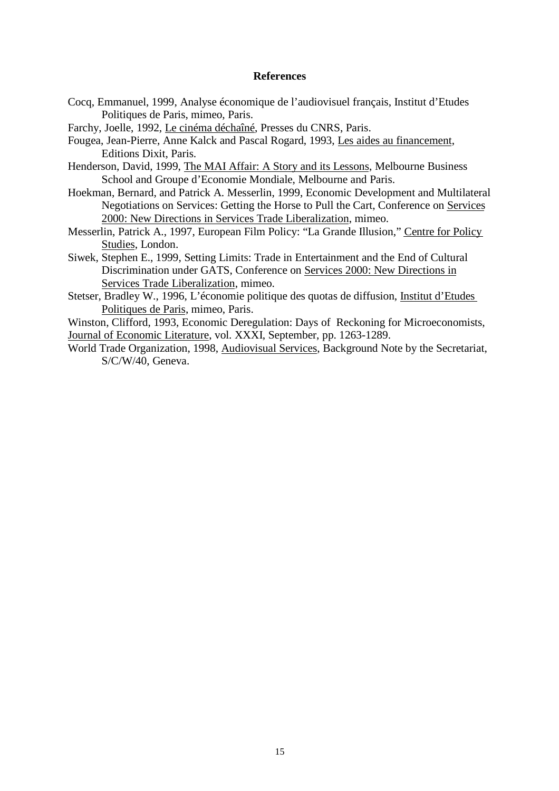#### **References**

Cocq, Emmanuel, 1999, Analyse économique de l'audiovisuel français, Institut d'Etudes Politiques de Paris, mimeo, Paris.

Farchy, Joelle, 1992, Le cinéma déchaîné, Presses du CNRS, Paris.

Fougea, Jean-Pierre, Anne Kalck and Pascal Rogard, 1993, Les aides au financement, Editions Dixit, Paris.

- Henderson, David, 1999, The MAI Affair: A Story and its Lessons, Melbourne Business School and Groupe d'Economie Mondiale, Melbourne and Paris.
- Hoekman, Bernard, and Patrick A. Messerlin, 1999, Economic Development and Multilateral Negotiations on Services: Getting the Horse to Pull the Cart, Conference on Services 2000: New Directions in Services Trade Liberalization, mimeo.
- Messerlin, Patrick A., 1997, European Film Policy: "La Grande Illusion," Centre for Policy Studies, London.
- Siwek, Stephen E., 1999, Setting Limits: Trade in Entertainment and the End of Cultural Discrimination under GATS, Conference on Services 2000: New Directions in Services Trade Liberalization, mimeo.
- Stetser, Bradley W., 1996, L'économie politique des quotas de diffusion, Institut d'Etudes Politiques de Paris, mimeo, Paris.

Winston, Clifford, 1993, Economic Deregulation: Days of Reckoning for Microeconomists, Journal of Economic Literature, vol. XXXI, September, pp. 1263-1289.

World Trade Organization, 1998, Audiovisual Services, Background Note by the Secretariat, S/C/W/40, Geneva.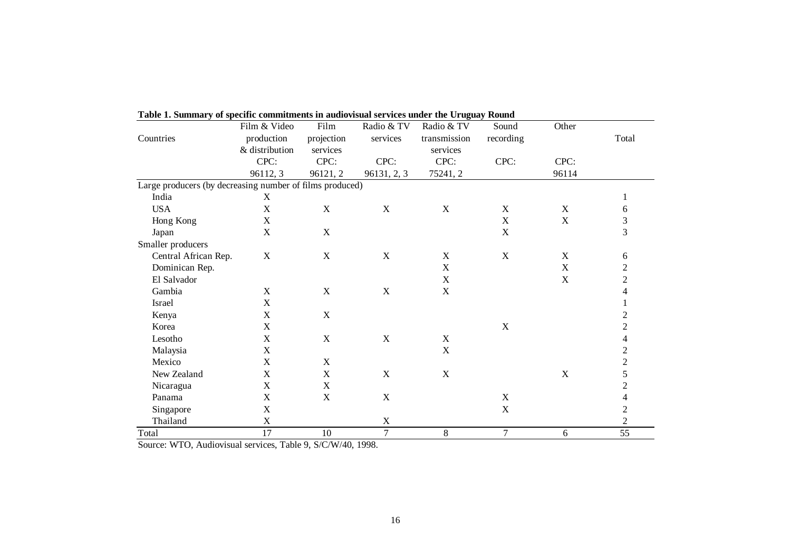|                                                          | Film & Video              | Film        | Radio & TV                | Radio & TV   | Sound     | Other       |                          |
|----------------------------------------------------------|---------------------------|-------------|---------------------------|--------------|-----------|-------------|--------------------------|
| Countries                                                | production                | projection  | services                  | transmission | recording |             | Total                    |
|                                                          | & distribution            | services    |                           | services     |           |             |                          |
|                                                          | CPC:                      | CPC:        | CPC:                      | CPC:         | CPC:      | CPC:        |                          |
|                                                          | 96112, 3                  | 96121, 2    | 96131, 2, 3               | 75241, 2     |           | 96114       |                          |
| Large producers (by decreasing number of films produced) |                           |             |                           |              |           |             |                          |
| India                                                    | X                         |             |                           |              |           |             |                          |
| <b>USA</b>                                               | $\mathbf X$               | X           | $\mathbf X$               | $\mathbf X$  | X         | $\mathbf X$ | 6                        |
| Hong Kong                                                | $\boldsymbol{\mathrm{X}}$ |             |                           |              | X         | $\mathbf X$ | $\frac{3}{3}$            |
| Japan                                                    | $\mathbf X$               | $\mathbf X$ |                           |              | X         |             |                          |
| Smaller producers                                        |                           |             |                           |              |           |             |                          |
| Central African Rep.                                     | X                         | $\mathbf X$ | $\mathbf X$               | X            | X         | $\mathbf X$ | 6                        |
| Dominican Rep.                                           |                           |             |                           | X            |           | $\mathbf X$ | $\overline{c}$           |
| El Salvador                                              |                           |             |                           | X            |           | $\mathbf X$ | $\overline{c}$           |
| Gambia                                                   | X                         | $\mathbf X$ | $\mathbf X$               | $\mathbf X$  |           |             | 4                        |
| Israel                                                   | $\mathbf X$               |             |                           |              |           |             | $\mathbf{1}$             |
| Kenya                                                    | X                         | X           |                           |              |           |             | $\overline{c}$           |
| Korea                                                    | $\mathbf X$               |             |                           |              | X         |             | $\overline{c}$           |
| Lesotho                                                  | X                         | X           | $\mathbf X$               | $\mathbf X$  |           |             | $\overline{4}$           |
| Malaysia                                                 | $\mathbf X$               |             |                           | $\mathbf X$  |           |             |                          |
| Mexico                                                   | $\mathbf X$               | $\mathbf X$ |                           |              |           |             | $\frac{2}{2}$            |
| New Zealand                                              | $\mathbf X$               | $\mathbf X$ | $\mathbf X$               | $\mathbf X$  |           | $\mathbf X$ | 5                        |
| Nicaragua                                                | $\mathbf X$               | $\mathbf X$ |                           |              |           |             | $\overline{c}$           |
| Panama                                                   | X                         | $\mathbf X$ | $\mathbf X$               |              | X         |             | $\overline{\mathcal{L}}$ |
| Singapore                                                | X                         |             |                           |              | X         |             | $\overline{c}$           |
| Thailand                                                 | $\mathbf X$               |             | $\boldsymbol{\mathrm{X}}$ |              |           |             | $\overline{2}$           |
| Total                                                    | 17                        | 10          | $\tau$                    | $\,8\,$      | $\tau$    | 6           | 55                       |

**Table 1. Summary of specific commitments in audiovisual services under the Uruguay Round**

Source: WTO, Audiovisual services, Table 9, S/C/W/40, 1998.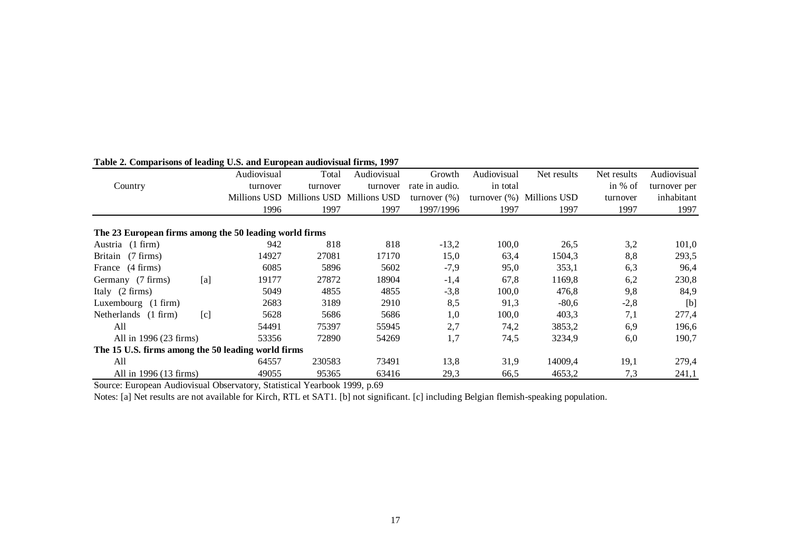|                                                        | Audiovisual  | Total                                  | Audiovisual | Growth          | Audiovisual     | Net results  | Net results | Audiovisual  |
|--------------------------------------------------------|--------------|----------------------------------------|-------------|-----------------|-----------------|--------------|-------------|--------------|
| Country                                                | turnover     | turnover                               | turnover    | rate in audio.  | in total        |              | in % of     | turnover per |
|                                                        |              | Millions USD Millions USD Millions USD |             | turnover $(\%)$ | turnover $(\%)$ | Millions USD | turnover    | inhabitant   |
|                                                        | 1996         | 1997                                   | 1997        | 1997/1996       | 1997            | 1997         | 1997        | 1997         |
|                                                        |              |                                        |             |                 |                 |              |             |              |
| The 23 European firms among the 50 leading world firms |              |                                        |             |                 |                 |              |             |              |
| Austria (1 firm)                                       | 942          | 818                                    | 818         | $-13,2$         | 100,0           | 26,5         | 3,2         | 101,0        |
| Britain (7 firms)                                      | 14927        | 27081                                  | 17170       | 15,0            | 63,4            | 1504,3       | 8,8         | 293,5        |
| France (4 firms)                                       | 6085         | 5896                                   | 5602        | $-7,9$          | 95,0            | 353,1        | 6,3         | 96,4         |
| Germany (7 firms)                                      | [a]<br>19177 | 27872                                  | 18904       | $-1,4$          | 67,8            | 1169,8       | 6,2         | 230,8        |
| Italy $(2 \text{ firms})$                              | 5049         | 4855                                   | 4855        | $-3,8$          | 100,0           | 476,8        | 9,8         | 84,9         |
| Luxembourg (1 firm)                                    | 2683         | 3189                                   | 2910        | 8,5             | 91,3            | $-80.6$      | $-2,8$      | [b]          |
| Netherlands (1 firm)                                   | 5628<br>[c]  | 5686                                   | 5686        | 1,0             | 100,0           | 403,3        | 7,1         | 277,4        |
| All                                                    | 54491        | 75397                                  | 55945       | 2,7             | 74,2            | 3853,2       | 6,9         | 196,6        |
| All in 1996 (23 firms)                                 | 53356        | 72890                                  | 54269       | 1,7             | 74,5            | 3234,9       | 6,0         | 190,7        |
| The 15 U.S. firms among the 50 leading world firms     |              |                                        |             |                 |                 |              |             |              |
| All                                                    | 64557        | 230583                                 | 73491       | 13,8            | 31,9            | 14009,4      | 19,1        | 279,4        |
| All in 1996 (13 firms)                                 | 49055        | 95365                                  | 63416       | 29,3            | 66,5            | 4653,2       | 7,3         | 241,1        |

#### **Table 2. Comparisons of leading U.S. and European audiovisual firms, 1997**

Source: European Audiovisual Observatory, Statistical Yearbook 1999, p.69

Notes: [a] Net results are not available for Kirch, RTL et SAT1. [b] not significant. [c] including Belgian flemish-speaking population.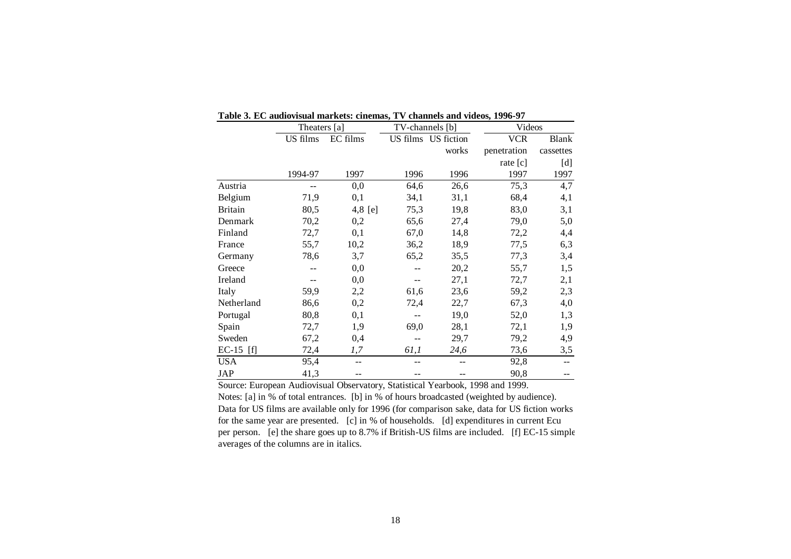|                | Theaters [a] |          | TV-channels [b] |                     | Videos      |              |  |
|----------------|--------------|----------|-----------------|---------------------|-------------|--------------|--|
|                | US films     | EC films |                 | US films US fiction | <b>VCR</b>  | <b>Blank</b> |  |
|                |              |          |                 | works               | penetration | cassettes    |  |
|                |              |          |                 |                     | rate $[c]$  | [d]          |  |
|                | 1994-97      | 1997     | 1996            | 1996                | 1997        | 1997         |  |
| Austria        |              | 0,0      | 64,6            | 26,6                | 75,3        | 4,7          |  |
| Belgium        | 71,9         | 0,1      | 34,1            | 31,1                | 68,4        | 4,1          |  |
| <b>Britain</b> | 80,5         | 4,8 [e]  | 75,3            | 19,8                | 83,0        | 3,1          |  |
| Denmark        | 70,2         | 0,2      | 65,6            | 27,4                | 79,0        | 5,0          |  |
| Finland        | 72,7         | 0,1      | 67,0            | 14,8                | 72,2        | 4,4          |  |
| France         | 55,7         | 10,2     | 36,2            | 18,9                | 77,5        | 6,3          |  |
| Germany        | 78,6         | 3,7      | 65,2            | 35,5                | 77,3        | 3,4          |  |
| Greece         |              | 0,0      |                 | 20,2                | 55,7        | 1,5          |  |
| Ireland        |              | 0,0      | --              | 27,1                | 72,7        | 2,1          |  |
| Italy          | 59,9         | 2,2      | 61,6            | 23,6                | 59,2        | 2,3          |  |
| Netherland     | 86,6         | 0,2      | 72,4            | 22,7                | 67,3        | 4,0          |  |
| Portugal       | 80,8         | 0,1      |                 | 19,0                | 52,0        | 1,3          |  |
| Spain          | 72,7         | 1,9      | 69,0            | 28,1                | 72,1        | 1,9          |  |
| Sweden         | 67,2         | 0,4      |                 | 29,7                | 79,2        | 4,9          |  |
| $EC-15$ [f]    | 72,4         | 1,7      | 61,1            | 24,6                | 73,6        | 3,5          |  |
| <b>USA</b>     | 95,4         | --       |                 |                     | 92,8        | --           |  |
| JAP            | 41,3         |          |                 |                     | 90,8        |              |  |

| Table 3. EC audiovisual markets: cinemas. TV channels and videos. 1996-97 |  |
|---------------------------------------------------------------------------|--|
|---------------------------------------------------------------------------|--|

Source: European Audiovisual Observatory, Statistical Yearbook, 1998 and 1999. Notes: [a] in % of total entrances. [b] in % of hours broadcasted (weighted by audience). Data for US films are available only for 1996 (for comparison sake, data for US fiction works for the same year are presented. [c] in % of households. [d] expenditures in current Ecu per person. [e] the share goes up to 8.7% if British-US films are included. [f] EC-15 simple averages of the columns are in italics.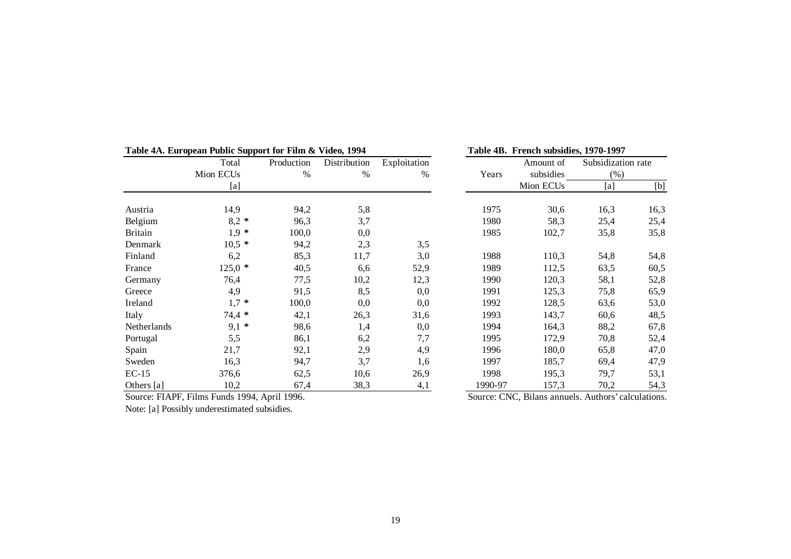|                | Table 4A. European Fublic Support for Film & Video, 1994 |                            |      | Table 4D. French subsidies, 1970-1997 |         |                       |                            |      |
|----------------|----------------------------------------------------------|----------------------------|------|---------------------------------------|---------|-----------------------|----------------------------|------|
|                | Total                                                    | Production<br>Distribution |      | Exploitation                          |         | Amount of             | Subsidization rate<br>(% ) |      |
|                | Mion ECU <sub>s</sub>                                    | $\%$<br>$\%$               |      | $\%$                                  | Years   | subsidies             |                            |      |
|                | [a]                                                      |                            |      |                                       |         | Mion ECU <sub>s</sub> | [a]                        | [b]  |
| Austria        | 14,9                                                     | 94,2                       | 5,8  |                                       | 1975    | 30,6                  | 16,3                       | 16,3 |
| Belgium        | $8,2*$                                                   | 96,3                       | 3,7  |                                       | 1980    | 58,3                  | 25,4                       | 25,4 |
| <b>Britain</b> | $1,9 *$                                                  | 100,0                      | 0,0  |                                       | 1985    | 102,7                 | 35,8                       | 35,8 |
| Denmark        | $10,5*$                                                  | 94,2                       | 2,3  | 3,5                                   |         |                       |                            |      |
| Finland        | 6,2                                                      | 85,3                       | 11,7 | 3,0                                   | 1988    | 110,3                 | 54,8                       | 54,8 |
| France         | $125,0*$                                                 | 40,5                       | 6.6  | 52,9                                  | 1989    | 112,5                 | 63,5                       | 60,5 |
| Germany        | 76,4                                                     | 77,5                       | 10,2 | 12,3                                  | 1990    | 120,3                 | 58,1                       | 52,8 |
| Greece         | 4,9                                                      | 91,5                       | 8,5  | 0,0                                   | 1991    | 125,3                 | 75,8                       | 65,9 |
| Ireland        | $1,7 *$                                                  | 100,0                      | 0,0  | 0,0                                   | 1992    | 128,5                 | 63,6                       | 53,0 |
| Italy          | $74,4*$                                                  | 42,1                       | 26,3 | 31,6                                  | 1993    | 143,7                 | 60,6                       | 48,5 |
| Netherlands    | $9,1*$                                                   | 98,6                       | 1,4  | 0,0                                   | 1994    | 164,3                 | 88,2                       | 67,8 |
| Portugal       | 5,5                                                      | 86,1                       | 6,2  | 7,7                                   | 1995    | 172,9                 | 70,8                       | 52,4 |
| Spain          | 21,7                                                     | 92,1                       | 2,9  | 4,9                                   | 1996    | 180,0                 | 65,8                       | 47,0 |
| Sweden         | 16,3                                                     | 94,7                       | 3,7  | 1,6                                   | 1997    | 185,7                 | 69,4                       | 47,9 |
| $EC-15$        | 376,6                                                    | 62,5                       | 10,6 | 26,9                                  | 1998    | 195,3                 | 79,7                       | 53,1 |
| Others [a]     | 10,2                                                     | 67,4                       | 38,3 | 4,1                                   | 1990-97 | 157,3                 | 70,2                       | 54,3 |

**Table 4A. European Public Support for Film & Video, 1994 Table 4B. French subsidies, 1970-1997**

Source: FIAPF, Films Funds 1994, April 1996. Source: CNC, Bilans annuels. Authors' calculations.

Note: [a] Possibly underestimated subsidies.